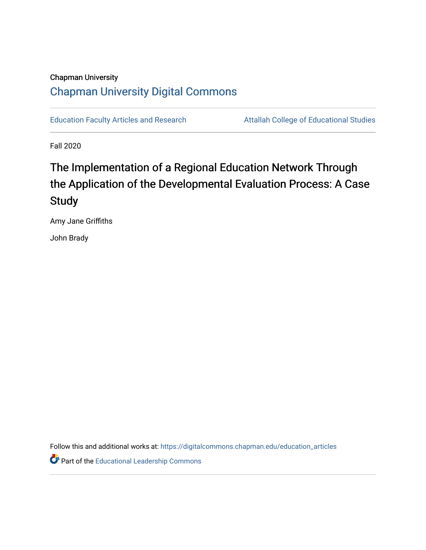# Chapman University [Chapman University Digital Commons](https://digitalcommons.chapman.edu/)

[Education Faculty Articles and Research](https://digitalcommons.chapman.edu/education_articles) **Attallah College of Educational Studies** 

Fall 2020

# The Implementation of a Regional Education Network Through the Application of the Developmental Evaluation Process: A Case **Study**

Amy Jane Griffiths

John Brady

Follow this and additional works at: [https://digitalcommons.chapman.edu/education\\_articles](https://digitalcommons.chapman.edu/education_articles?utm_source=digitalcommons.chapman.edu%2Feducation_articles%2F276&utm_medium=PDF&utm_campaign=PDFCoverPages)

Part of the [Educational Leadership Commons](http://network.bepress.com/hgg/discipline/1230?utm_source=digitalcommons.chapman.edu%2Feducation_articles%2F276&utm_medium=PDF&utm_campaign=PDFCoverPages)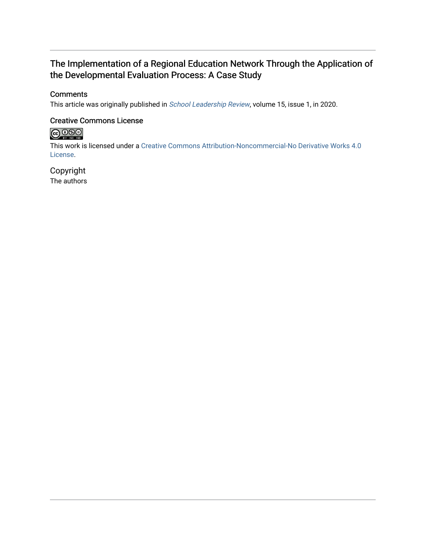# The Implementation of a Regional Education Network Through the Application of the Developmental Evaluation Process: A Case Study

## **Comments**

This article was originally published in [School Leadership Review](https://scholarworks.sfasu.edu/slr/vol15/iss1/24), volume 15, issue 1, in 2020.

### Creative Commons License

# 

This work is licensed under a [Creative Commons Attribution-Noncommercial-No Derivative Works 4.0](https://creativecommons.org/licenses/by-nc-nd/4.0/) [License](https://creativecommons.org/licenses/by-nc-nd/4.0/).

# Copyright

The authors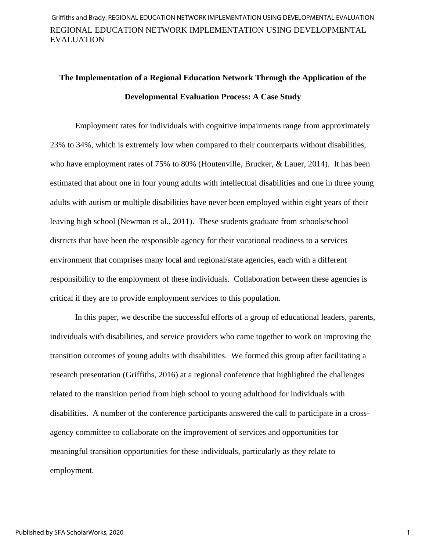# **The Implementation of a Regional Education Network Through the Application of the Developmental Evaluation Process: A Case Study**

Employment rates for individuals with cognitive impairments range from approximately 23% to 34%, which is extremely low when compared to their counterparts without disabilities, who have employment rates of 75% to 80% (Houtenville, Brucker, & Lauer, 2014). It has been estimated that about one in four young adults with intellectual disabilities and one in three young adults with autism or multiple disabilities have never been employed within eight years of their leaving high school (Newman et al., 2011). These students graduate from schools/school districts that have been the responsible agency for their vocational readiness to a services environment that comprises many local and regional/state agencies, each with a different responsibility to the employment of these individuals. Collaboration between these agencies is critical if they are to provide employment services to this population.

In this paper, we describe the successful efforts of a group of educational leaders, parents, individuals with disabilities, and service providers who came together to work on improving the transition outcomes of young adults with disabilities. We formed this group after facilitating a research presentation (Griffiths, 2016) at a regional conference that highlighted the challenges related to the transition period from high school to young adulthood for individuals with disabilities. A number of the conference participants answered the call to participate in a crossagency committee to collaborate on the improvement of services and opportunities for meaningful transition opportunities for these individuals, particularly as they relate to employment.

1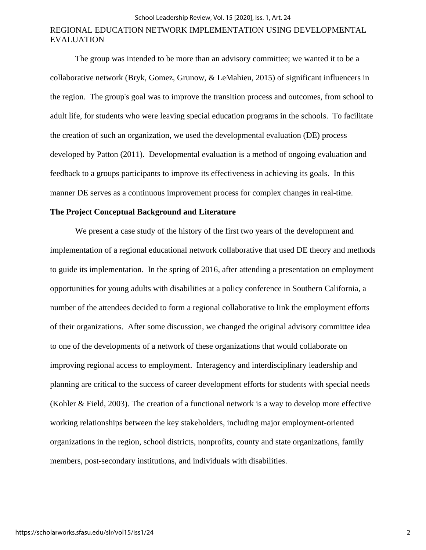#### School Leadership Review, Vol. 15 [2020], Iss. 1, Art. 24

## REGIONAL EDUCATION NETWORK IMPLEMENTATION USING DEVELOPMENTAL EVALUATION

The group was intended to be more than an advisory committee; we wanted it to be a collaborative network (Bryk, Gomez, Grunow, & LeMahieu, 2015) of significant influencers in the region. The group's goal was to improve the transition process and outcomes, from school to adult life, for students who were leaving special education programs in the schools. To facilitate the creation of such an organization, we used the developmental evaluation (DE) process developed by Patton (2011). Developmental evaluation is a method of ongoing evaluation and feedback to a groups participants to improve its effectiveness in achieving its goals. In this manner DE serves as a continuous improvement process for complex changes in real-time.

#### **The Project Conceptual Background and Literature**

We present a case study of the history of the first two years of the development and implementation of a regional educational network collaborative that used DE theory and methods to guide its implementation. In the spring of 2016, after attending a presentation on employment opportunities for young adults with disabilities at a policy conference in Southern California, a number of the attendees decided to form a regional collaborative to link the employment efforts of their organizations. After some discussion, we changed the original advisory committee idea to one of the developments of a network of these organizations that would collaborate on improving regional access to employment. Interagency and interdisciplinary leadership and planning are critical to the success of career development efforts for students with special needs (Kohler & Field, 2003). The creation of a functional network is a way to develop more effective working relationships between the key stakeholders, including major employment-oriented organizations in the region, school districts, nonprofits, county and state organizations, family members, post-secondary institutions, and individuals with disabilities.

2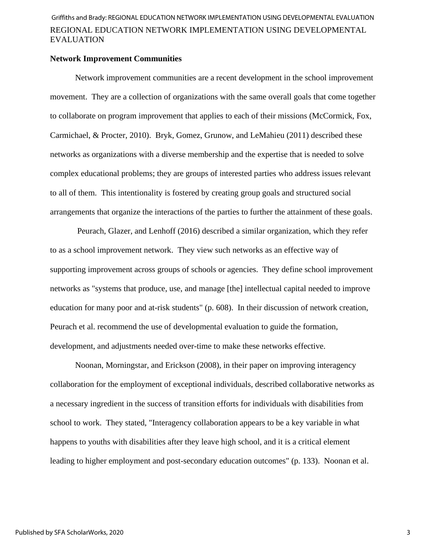#### **Network Improvement Communities**

Network improvement communities are a recent development in the school improvement movement. They are a collection of organizations with the same overall goals that come together to collaborate on program improvement that applies to each of their missions (McCormick, Fox, Carmichael, & Procter, 2010). Bryk, Gomez, Grunow, and LeMahieu (2011) described these networks as organizations with a diverse membership and the expertise that is needed to solve complex educational problems; they are groups of interested parties who address issues relevant to all of them. This intentionality is fostered by creating group goals and structured social arrangements that organize the interactions of the parties to further the attainment of these goals.

Peurach, Glazer, and Lenhoff (2016) described a similar organization, which they refer to as a school improvement network. They view such networks as an effective way of supporting improvement across groups of schools or agencies. They define school improvement networks as "systems that produce, use, and manage [the] intellectual capital needed to improve education for many poor and at-risk students" (p. 608). In their discussion of network creation, Peurach et al. recommend the use of developmental evaluation to guide the formation, development, and adjustments needed over-time to make these networks effective.

Noonan, Morningstar, and Erickson (2008), in their paper on improving interagency collaboration for the employment of exceptional individuals, described collaborative networks as a necessary ingredient in the success of transition efforts for individuals with disabilities from school to work. They stated, "Interagency collaboration appears to be a key variable in what happens to youths with disabilities after they leave high school, and it is a critical element leading to higher employment and post-secondary education outcomes" (p. 133). Noonan et al.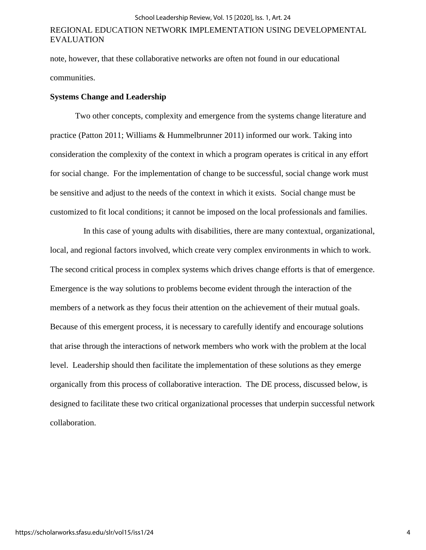note, however, that these collaborative networks are often not found in our educational communities.

#### **Systems Change and Leadership**

Two other concepts, complexity and emergence from the systems change literature and practice (Patton 2011; Williams & Hummelbrunner 2011) informed our work. Taking into consideration the complexity of the context in which a program operates is critical in any effort for social change. For the implementation of change to be successful, social change work must be sensitive and adjust to the needs of the context in which it exists. Social change must be customized to fit local conditions; it cannot be imposed on the local professionals and families.

 In this case of young adults with disabilities, there are many contextual, organizational, local, and regional factors involved, which create very complex environments in which to work. The second critical process in complex systems which drives change efforts is that of emergence. Emergence is the way solutions to problems become evident through the interaction of the members of a network as they focus their attention on the achievement of their mutual goals. Because of this emergent process, it is necessary to carefully identify and encourage solutions that arise through the interactions of network members who work with the problem at the local level. Leadership should then facilitate the implementation of these solutions as they emerge organically from this process of collaborative interaction. The DE process, discussed below, is designed to facilitate these two critical organizational processes that underpin successful network collaboration.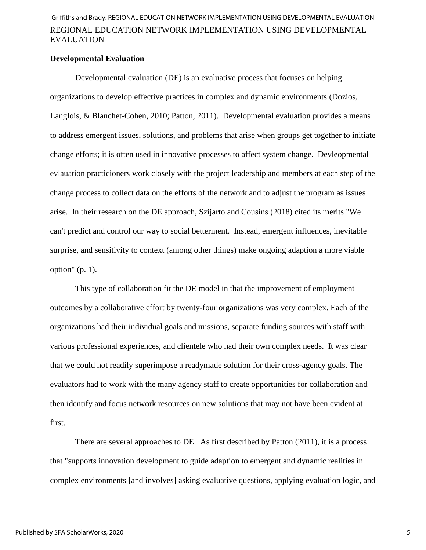#### **Developmental Evaluation**

Developmental evaluation (DE) is an evaluative process that focuses on helping organizations to develop effective practices in complex and dynamic environments (Dozios, Langlois, & Blanchet-Cohen, 2010; Patton, 2011). Developmental evaluation provides a means to address emergent issues, solutions, and problems that arise when groups get together to initiate change efforts; it is often used in innovative processes to affect system change. Devleopmental evlauation practicioners work closely with the project leadership and members at each step of the change process to collect data on the efforts of the network and to adjust the program as issues arise. In their research on the DE approach, Szijarto and Cousins (2018) cited its merits "We can't predict and control our way to social betterment. Instead, emergent influences, inevitable surprise, and sensitivity to context (among other things) make ongoing adaption a more viable option"  $(p. 1)$ .

This type of collaboration fit the DE model in that the improvement of employment outcomes by a collaborative effort by twenty-four organizations was very complex. Each of the organizations had their individual goals and missions, separate funding sources with staff with various professional experiences, and clientele who had their own complex needs. It was clear that we could not readily superimpose a readymade solution for their cross-agency goals. The evaluators had to work with the many agency staff to create opportunities for collaboration and then identify and focus network resources on new solutions that may not have been evident at first.

There are several approaches to DE. As first described by Patton (2011), it is a process that "supports innovation development to guide adaption to emergent and dynamic realities in complex environments [and involves] asking evaluative questions, applying evaluation logic, and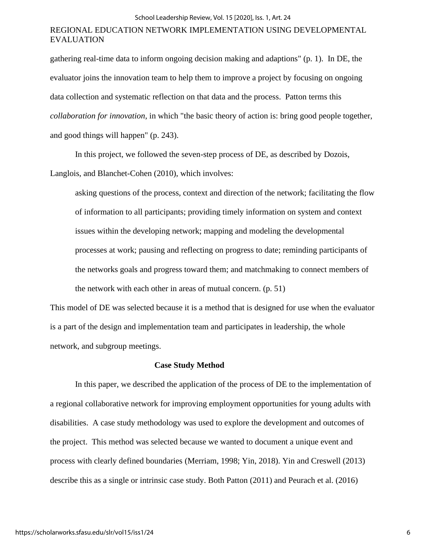gathering real-time data to inform ongoing decision making and adaptions" (p. 1). In DE, the evaluator joins the innovation team to help them to improve a project by focusing on ongoing data collection and systematic reflection on that data and the process. Patton terms this *collaboration for innovation*, in which "the basic theory of action is: bring good people together, and good things will happen" (p. 243).

In this project, we followed the seven-step process of DE, as described by Dozois, Langlois, and Blanchet-Cohen (2010), which involves:

asking questions of the process, context and direction of the network; facilitating the flow of information to all participants; providing timely information on system and context issues within the developing network; mapping and modeling the developmental processes at work; pausing and reflecting on progress to date; reminding participants of the networks goals and progress toward them; and matchmaking to connect members of the network with each other in areas of mutual concern. (p. 51)

This model of DE was selected because it is a method that is designed for use when the evaluator is a part of the design and implementation team and participates in leadership, the whole network, and subgroup meetings.

#### **Case Study Method**

In this paper, we described the application of the process of DE to the implementation of a regional collaborative network for improving employment opportunities for young adults with disabilities. A case study methodology was used to explore the development and outcomes of the project. This method was selected because we wanted to document a unique event and process with clearly defined boundaries (Merriam, 1998; Yin, 2018). Yin and Creswell (2013) describe this as a single or intrinsic case study. Both Patton (2011) and Peurach et al. (2016)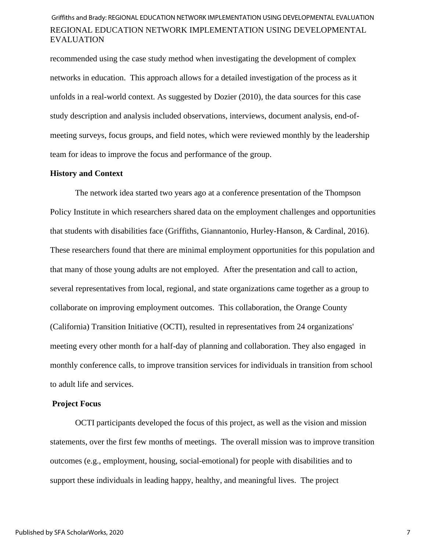recommended using the case study method when investigating the development of complex networks in education. This approach allows for a detailed investigation of the process as it unfolds in a real-world context. As suggested by Dozier (2010), the data sources for this case study description and analysis included observations, interviews, document analysis, end-ofmeeting surveys, focus groups, and field notes, which were reviewed monthly by the leadership team for ideas to improve the focus and performance of the group.

#### **History and Context**

The network idea started two years ago at a conference presentation of the Thompson Policy Institute in which researchers shared data on the employment challenges and opportunities that students with disabilities face (Griffiths, Giannantonio, Hurley-Hanson, & Cardinal, 2016). These researchers found that there are minimal employment opportunities for this population and that many of those young adults are not employed. After the presentation and call to action, several representatives from local, regional, and state organizations came together as a group to collaborate on improving employment outcomes. This collaboration, the Orange County (California) Transition Initiative (OCTI), resulted in representatives from 24 organizations' meeting every other month for a half-day of planning and collaboration. They also engaged in monthly conference calls, to improve transition services for individuals in transition from school to adult life and services.

#### **Project Focus**

OCTI participants developed the focus of this project, as well as the vision and mission statements, over the first few months of meetings. The overall mission was to improve transition outcomes (e.g., employment, housing, social-emotional) for people with disabilities and to support these individuals in leading happy, healthy, and meaningful lives. The project

7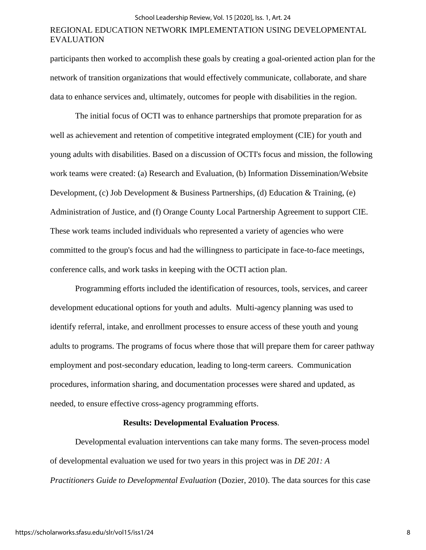participants then worked to accomplish these goals by creating a goal-oriented action plan for the network of transition organizations that would effectively communicate, collaborate, and share data to enhance services and, ultimately, outcomes for people with disabilities in the region.

The initial focus of OCTI was to enhance partnerships that promote preparation for as well as achievement and retention of competitive integrated employment (CIE) for youth and young adults with disabilities. Based on a discussion of OCTI's focus and mission, the following work teams were created: (a) Research and Evaluation, (b) Information Dissemination/Website Development, (c) Job Development & Business Partnerships, (d) Education & Training, (e) Administration of Justice, and (f) Orange County Local Partnership Agreement to support CIE. These work teams included individuals who represented a variety of agencies who were committed to the group's focus and had the willingness to participate in face-to-face meetings, conference calls, and work tasks in keeping with the OCTI action plan.

Programming efforts included the identification of resources, tools, services, and career development educational options for youth and adults. Multi-agency planning was used to identify referral, intake, and enrollment processes to ensure access of these youth and young adults to programs. The programs of focus where those that will prepare them for career pathway employment and post-secondary education, leading to long-term careers. Communication procedures, information sharing, and documentation processes were shared and updated, as needed, to ensure effective cross-agency programming efforts.

#### **Results: Developmental Evaluation Process**.

Developmental evaluation interventions can take many forms. The seven-process model of developmental evaluation we used for two years in this project was in *DE 201: A Practitioners Guide to Developmental Evaluation* (Dozier, 2010). The data sources for this case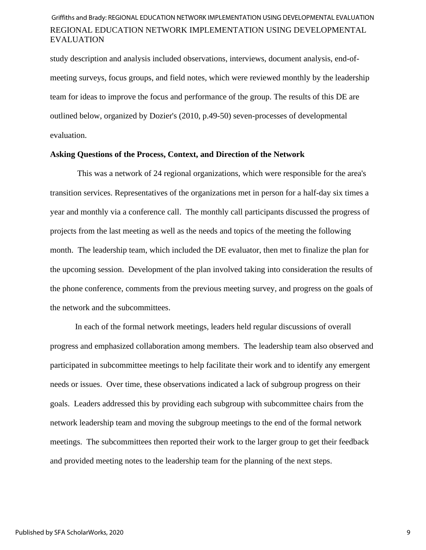study description and analysis included observations, interviews, document analysis, end-ofmeeting surveys, focus groups, and field notes, which were reviewed monthly by the leadership team for ideas to improve the focus and performance of the group. The results of this DE are outlined below, organized by Dozier's (2010, p.49-50) seven-processes of developmental evaluation.

### **Asking Questions of the Process, Context, and Direction of the Network**

This was a network of 24 regional organizations, which were responsible for the area's transition services. Representatives of the organizations met in person for a half-day six times a year and monthly via a conference call. The monthly call participants discussed the progress of projects from the last meeting as well as the needs and topics of the meeting the following month. The leadership team, which included the DE evaluator, then met to finalize the plan for the upcoming session. Development of the plan involved taking into consideration the results of the phone conference, comments from the previous meeting survey, and progress on the goals of the network and the subcommittees.

In each of the formal network meetings, leaders held regular discussions of overall progress and emphasized collaboration among members. The leadership team also observed and participated in subcommittee meetings to help facilitate their work and to identify any emergent needs or issues. Over time, these observations indicated a lack of subgroup progress on their goals. Leaders addressed this by providing each subgroup with subcommittee chairs from the network leadership team and moving the subgroup meetings to the end of the formal network meetings. The subcommittees then reported their work to the larger group to get their feedback and provided meeting notes to the leadership team for the planning of the next steps.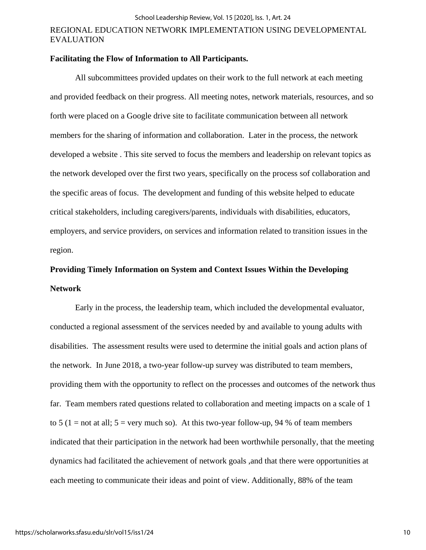### **Facilitating the Flow of Information to All Participants.**

All subcommittees provided updates on their work to the full network at each meeting and provided feedback on their progress. All meeting notes, network materials, resources, and so forth were placed on a Google drive site to facilitate communication between all network members for the sharing of information and collaboration. Later in the process, the network developed a website . This site served to focus the members and leadership on relevant topics as the network developed over the first two years, specifically on the process sof collaboration and the specific areas of focus. The development and funding of this website helped to educate critical stakeholders, including caregivers/parents, individuals with disabilities, educators, employers, and service providers, on services and information related to transition issues in the region.

# **Providing Timely Information on System and Context Issues Within the Developing Network**

Early in the process, the leadership team, which included the developmental evaluator, conducted a regional assessment of the services needed by and available to young adults with disabilities. The assessment results were used to determine the initial goals and action plans of the network. In June 2018, a two-year follow-up survey was distributed to team members, providing them with the opportunity to reflect on the processes and outcomes of the network thus far. Team members rated questions related to collaboration and meeting impacts on a scale of 1 to 5 (1 = not at all;  $5 = \text{very much so}$ ). At this two-year follow-up, 94 % of team members indicated that their participation in the network had been worthwhile personally, that the meeting dynamics had facilitated the achievement of network goals ,and that there were opportunities at each meeting to communicate their ideas and point of view. Additionally, 88% of the team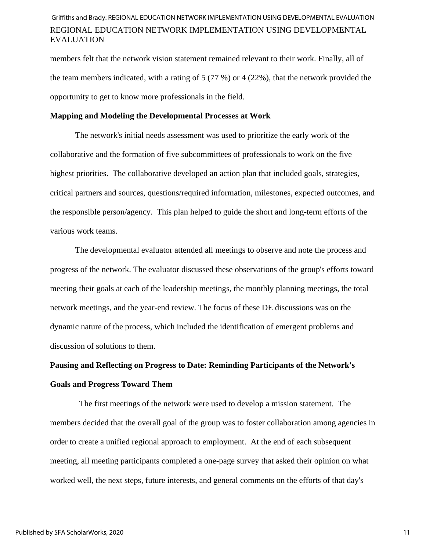members felt that the network vision statement remained relevant to their work. Finally, all of the team members indicated, with a rating of 5 (77 %) or 4 (22%), that the network provided the opportunity to get to know more professionals in the field.

#### **Mapping and Modeling the Developmental Processes at Work**

The network's initial needs assessment was used to prioritize the early work of the collaborative and the formation of five subcommittees of professionals to work on the five highest priorities. The collaborative developed an action plan that included goals, strategies, critical partners and sources, questions/required information, milestones, expected outcomes, and the responsible person/agency. This plan helped to guide the short and long-term efforts of the various work teams.

The developmental evaluator attended all meetings to observe and note the process and progress of the network. The evaluator discussed these observations of the group's efforts toward meeting their goals at each of the leadership meetings, the monthly planning meetings, the total network meetings, and the year-end review. The focus of these DE discussions was on the dynamic nature of the process, which included the identification of emergent problems and discussion of solutions to them.

# **Pausing and Reflecting on Progress to Date: Reminding Participants of the Network's Goals and Progress Toward Them**

The first meetings of the network were used to develop a mission statement. The members decided that the overall goal of the group was to foster collaboration among agencies in order to create a unified regional approach to employment. At the end of each subsequent meeting, all meeting participants completed a one-page survey that asked their opinion on what worked well, the next steps, future interests, and general comments on the efforts of that day's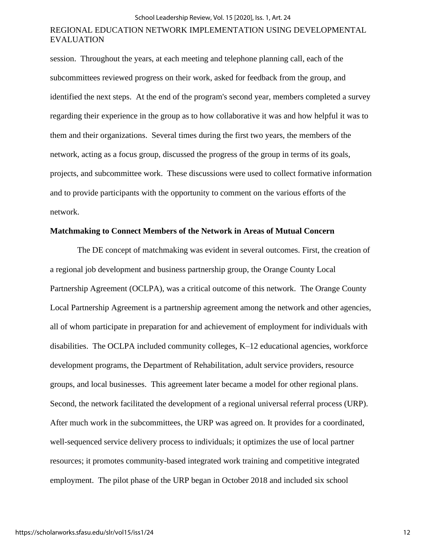session. Throughout the years, at each meeting and telephone planning call, each of the subcommittees reviewed progress on their work, asked for feedback from the group, and identified the next steps. At the end of the program's second year, members completed a survey regarding their experience in the group as to how collaborative it was and how helpful it was to them and their organizations. Several times during the first two years, the members of the network, acting as a focus group, discussed the progress of the group in terms of its goals, projects, and subcommittee work. These discussions were used to collect formative information and to provide participants with the opportunity to comment on the various efforts of the network.

#### **Matchmaking to Connect Members of the Network in Areas of Mutual Concern**

 The DE concept of matchmaking was evident in several outcomes. First, the creation of a regional job development and business partnership group, the Orange County Local Partnership Agreement (OCLPA), was a critical outcome of this network. The Orange County Local Partnership Agreement is a partnership agreement among the network and other agencies, all of whom participate in preparation for and achievement of employment for individuals with disabilities. The OCLPA included community colleges, K–12 educational agencies, workforce development programs, the Department of Rehabilitation, adult service providers, resource groups, and local businesses. This agreement later became a model for other regional plans. Second, the network facilitated the development of a regional universal referral process (URP). After much work in the subcommittees, the URP was agreed on. It provides for a coordinated, well-sequenced service delivery process to individuals; it optimizes the use of local partner resources; it promotes community-based integrated work training and competitive integrated employment. The pilot phase of the URP began in October 2018 and included six school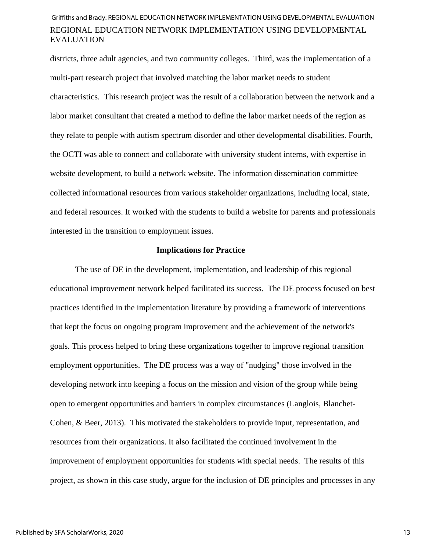districts, three adult agencies, and two community colleges. Third, was the implementation of a multi-part research project that involved matching the labor market needs to student characteristics. This research project was the result of a collaboration between the network and a labor market consultant that created a method to define the labor market needs of the region as they relate to people with autism spectrum disorder and other developmental disabilities. Fourth, the OCTI was able to connect and collaborate with university student interns, with expertise in website development, to build a network website. The information dissemination committee collected informational resources from various stakeholder organizations, including local, state, and federal resources. It worked with the students to build a website for parents and professionals interested in the transition to employment issues.

#### **Implications for Practice**

The use of DE in the development, implementation, and leadership of this regional educational improvement network helped facilitated its success. The DE process focused on best practices identified in the implementation literature by providing a framework of interventions that kept the focus on ongoing program improvement and the achievement of the network's goals. This process helped to bring these organizations together to improve regional transition employment opportunities. The DE process was a way of "nudging" those involved in the developing network into keeping a focus on the mission and vision of the group while being open to emergent opportunities and barriers in complex circumstances (Langlois, Blanchet-Cohen, & Beer, 2013). This motivated the stakeholders to provide input, representation, and resources from their organizations. It also facilitated the continued involvement in the improvement of employment opportunities for students with special needs. The results of this project, as shown in this case study, argue for the inclusion of DE principles and processes in any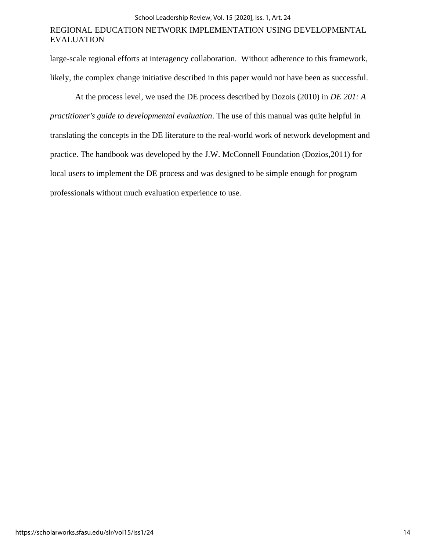large-scale regional efforts at interagency collaboration. Without adherence to this framework, likely, the complex change initiative described in this paper would not have been as successful.

At the process level, we used the DE process described by Dozois (2010) in *DE 201: A practitioner's guide to developmental evaluation*. The use of this manual was quite helpful in translating the concepts in the DE literature to the real-world work of network development and practice. The handbook was developed by the J.W. McConnell Foundation (Dozios,2011) for local users to implement the DE process and was designed to be simple enough for program professionals without much evaluation experience to use.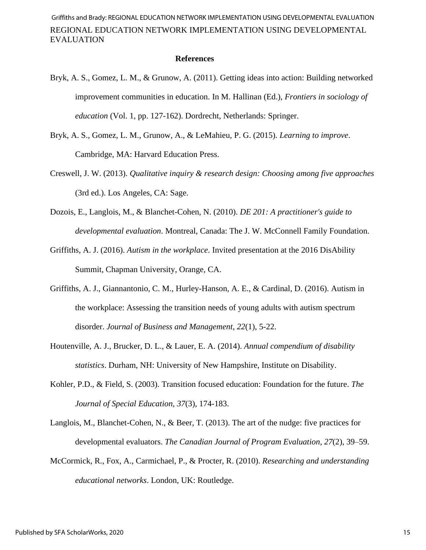#### **References**

- Bryk, A. S., Gomez, L. M., & Grunow, A. (2011). Getting ideas into action: Building networked improvement communities in education. In M. Hallinan (Ed.), *Frontiers in sociology of education* (Vol. 1, pp. 127-162). Dordrecht, Netherlands: Springer.
- Bryk, A. S., Gomez, L. M., Grunow, A., & LeMahieu, P. G. (2015). *Learning to improve*. Cambridge, MA: Harvard Education Press.
- Creswell, J. W. (2013). *Qualitative inquiry & research design: Choosing among five approaches* (3rd ed.). Los Angeles, CA: Sage.
- Dozois, E., Langlois, M., & Blanchet-Cohen, N. (2010). *DE 201: A practitioner's guide to developmental evaluation*. Montreal, Canada: The J. W. McConnell Family Foundation.
- Griffiths, A. J. (2016). *Autism in the workplace*. Invited presentation at the 2016 DisAbility Summit, Chapman University, Orange, CA.
- Griffiths, A. J., Giannantonio, C. M., Hurley-Hanson, A. E., & Cardinal, D. (2016). Autism in the workplace: Assessing the transition needs of young adults with autism spectrum disorder. *Journal of Business and Management*, *22*(1), 5-22.
- Houtenville, A. J., Brucker, D. L., & Lauer, E. A. (2014). *Annual compendium of disability statistics*. Durham, NH: University of New Hampshire, Institute on Disability.
- Kohler, P.D., & Field, S. (2003). Transition focused education: Foundation for the future. *The Journal of Special Education, 37*(3), 174-183.
- Langlois, M., Blanchet-Cohen, N., & Beer, T. (2013). The art of the nudge: five practices for developmental evaluators. *The Canadian Journal of Program Evaluation*, *27*(2), 39–59.
- McCormick, R., Fox, A., Carmichael, P., & Procter, R. (2010). *Researching and understanding educational networks*. London, UK: Routledge.